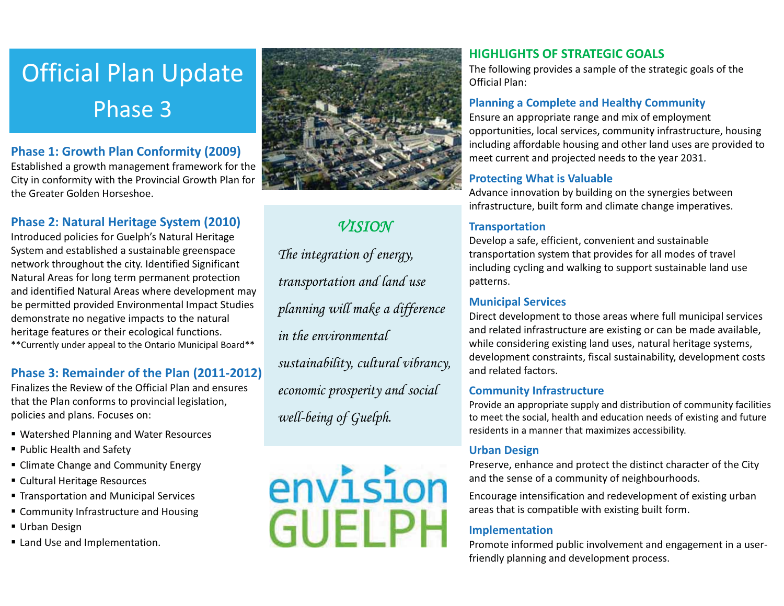## Official Plan Update Phase 3

#### **Phase 1: Growth Plan Conformity (2009)**

Established a growth management framework for the City in conformity with the Provincial Growth Plan for the Greater Golden Horseshoe.

#### **Phase 2: Natural Heritage System (2010)**

Introduced policies for Guelph's Natural Heritage System and established a sustainable greenspace network throughout the city. Identified Significant Natural Areas for long term permanent protection and identified Natural Areas where development may be permitted provided Environmental Impact Studies demonstrate no negative impacts to the natural heritage features or their ecological functions. \*\*Currently under appeal to the Ontario Municipal Board\*\*

#### **Phase 3: Remainder of the Plan (2011-2012)**

Finalizes the Review of the Official Plan and ensures that the Plan conforms to provincial legislation, policies and plans. Focuses on:

- Watershed Planning and Water Resources
- Public Health and Safety
- **Example 2 Climate Change and Community Energy**
- Cultural Heritage Resources
- Transportation and Municipal Services
- **E** Community Infrastructure and Housing
- Urban Design
- Land Use and Implementation.



#### VISION

The integration of energy, transportation and land use <sup>p</sup>lanning will make a difference in the environmental sustainability, cultural vibrancy, economic prosperity and social well-being of Guelph.



#### **HIGHLIGHTS OF STRATEGIC GOALS**

The following provides a sample of the strategic goals of the Official Plan:

#### **Planning a Complete and Healthy Community**

Ensure an appropriate range and mix of employment opportunities, local services, community infrastructure, housing including affordable housing and other land uses are provided to meet current and projected needs to the year 2031.

#### **Protecting What is Valuable**

Advance innovation by building on the synergies between infrastructure, built form and climate change imperatives.

#### **Transportation**

Develop a safe, efficient, convenient and sustainable transportation system that provides for all modes of travel including cycling and walking to support sustainable land use patterns.

#### **Municipal Services**

Direct development to those areas where full municipal services and related infrastructure are existing or can be made available, while considering existing land uses, natural heritage systems, development constraints, fiscal sustainability, development costs and related factors.

#### **Community Infrastructure**

Provide an appropriate supply and distribution of community facilities to meet the social, health and education needs of existing and future residents in a manner that maximizes accessibility.

#### **Urban Design**

Preserve, enhance and protect the distinct character of the City and the sense of a community of neighbourhoods.

Encourage intensification and redevelopment of existing urban areas that is compatible with existing built form.

#### **Implementation**

Promote informed public involvement and engagement in a userfriendly planning and development process.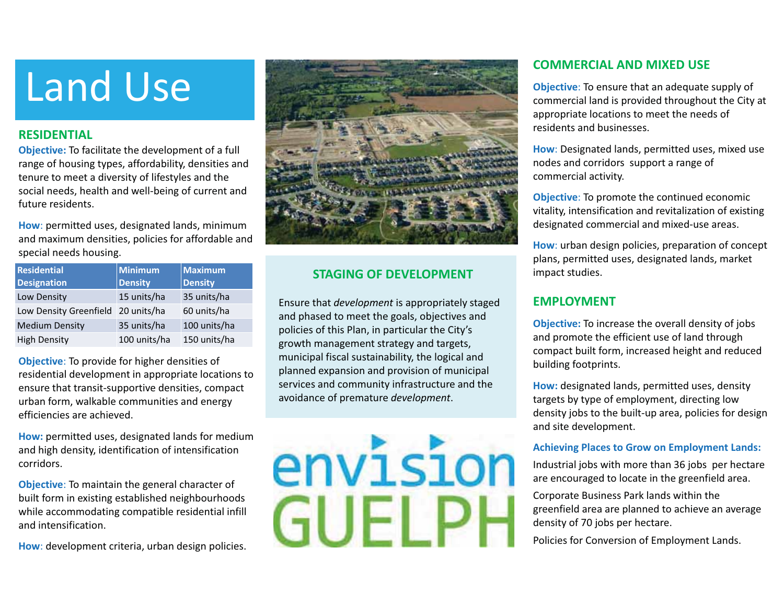## Land Use

#### **RESIDENTIAL**

**Objective:** To facilitate the development of a full range of housing types, affordability, densities and tenure to meet a diversity of lifestyles and the social needs, health and well-being of current and future residents.

**How**: permitted uses, designated lands, minimum and maximum densities, policies for affordable and special needs housing.

| <b>Residential</b><br><b>Designation</b> | <b>Minimum</b><br><b>Density</b> | <b>Maximum</b><br><b>Density</b> |
|------------------------------------------|----------------------------------|----------------------------------|
| Low Density                              | 15 units/ha                      | 35 units/ha                      |
| Low Density Greenfield 20 units/ha       |                                  | 60 units/ha                      |
| <b>Medium Density</b>                    | 35 units/ha                      | 100 units/ha                     |
| <b>High Density</b>                      | 100 units/ha                     | 150 units/ha                     |

**Objective**: To provide for higher densities of residential development in appropriate locations to ensure that transit-supportive densities, compact urban form, walkable communities and energy efficiencies are achieved.

**How:** permitted uses, designated lands for medium and high density, identification of intensification corridors.

**Objective**: To maintain the general character of built form in existing established neighbourhoods while accommodating compatible residential infill and intensification.

**How**: development criteria, urban design policies.



#### **STAGING OF DEVELOPMENT**

Ensure that *development* is appropriately staged and phased to meet the goals, objectives and policies of this Plan, in particular the City's growth management strategy and targets, municipal fiscal sustainability, the logical and planned expansion and provision of municipal services and community infrastructure and the avoidance of premature *development*.



#### **COMMERCIAL AND MIXED USE**

**Objective**: To ensure that an adequate supply of commercial land is provided throughout the City at appropriate locations to meet the needs of residents and businesses.

**How**: Designated lands, permitted uses, mixed use nodes and corridors support a range of commercial activity.

**Objective**: To promote the continued economic vitality, intensification and revitalization of existing designated commercial and mixed-use areas.

**How**: urban design policies, preparation of concept plans, permitted uses, designated lands, market impact studies.

#### **EMPLOYMENT**

**Objective:** To increase the overall density of jobs and promote the efficient use of land through compact built form, increased height and reduced building footprints.

**How:** designated lands, permitted uses, density targets by type of employment, directing low density jobs to the built-up area, policies for design and site development.

#### **Achieving Places to Grow on Employment Lands:**

Industrial jobs with more than 36 jobs per hectare are encouraged to locate in the greenfield area.

Corporate Business Park lands within the greenfield area are planned to achieve an average density of 70 jobs per hectare.

Policies for Conversion of Employment Lands.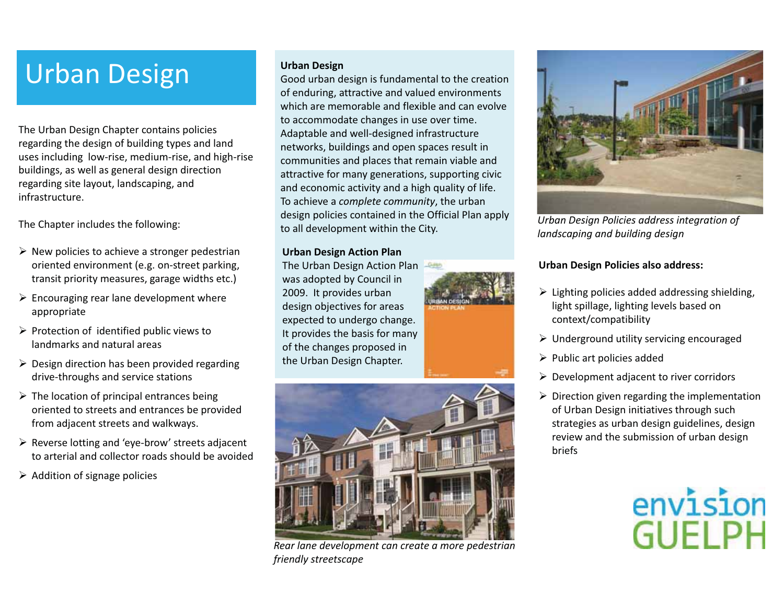## Urban Design

The Urban Design Chapter contains policies regarding the design of building types and land uses including low-rise, medium-rise, and high-rise buildings, as well as general design direction regarding site layout, landscaping, and infrastructure.

The Chapter includes the following:

- $\triangleright$  New policies to achieve a stronger pedestrian oriented environment (e.g. on-street parking, transit priority measures, garage widths etc.)
- $\triangleright$  Encouraging rear lane development where appropriate
- $\triangleright$  Protection of identified public views to landmarks and natural areas
- $\triangleright$  Design direction has been provided regarding drive-throughs and service stations
- $\triangleright$  The location of principal entrances being oriented to streets and entrances be provided from adjacent streets and walkways.
- $\triangleright$  Reverse lotting and 'eye-brow' streets adjacent to arterial and collector roads should be avoided
- $\triangleright$  Addition of signage policies

#### **Urban Design**

Good urban design is fundamental to the creation of enduring, attractive and valued environments which are memorable and flexible and can evolve to accommodate changes in use over time. Adaptable and well-designed infrastructure networks, buildings and open spaces result in communities and places that remain viable and attractive for many generations, supporting civic and economic activity and a high quality of life. To achieve a *complete community*, the urban design policies contained in the Official Plan apply to all development within the City.

#### **Urban Design Action Plan**

The Urban Design Action Plan Gass was adopted by Council in 2009. It provides urban design objectives for areas expected to undergo change. It provides the basis for many of the changes proposed in the Urban Design Chapter.



*Rear lane development can create a more pedestrian friendly streetscape* 



*Urban Design Policies address integration of landscaping and building design* 

#### **Urban Design Policies also address:**

- $\triangleright$  Lighting policies added addressing shielding, light spillage, lighting levels based on context/compatibility
- $\triangleright$  Underground utility servicing encouraged
- $\triangleright$  Public art policies added
- $\triangleright$  Development adjacent to river corridors
- $\triangleright$  Direction given regarding the implementation of Urban Design initiatives through such strategies as urban design guidelines, design review and the submission of urban design briefs



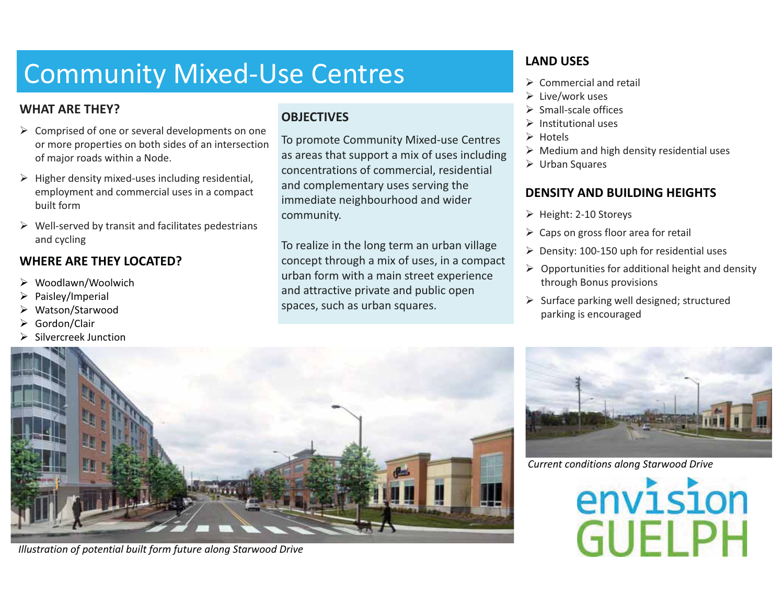## Community Mixed-Use Centres

#### **WHAT ARE THEY?**

- $\triangleright$  Comprised of one or several developments on one or more properties on both sides of an intersection of major roads within a Node.
- $\triangleright$  Higher density mixed-uses including residential, employment and commercial uses in a compact built form
- $\triangleright$  Well-served by transit and facilitates pedestrians and cycling

#### **WHERE ARE THEY LOCATED?**

- Woodlawn/Woolwich
- $\triangleright$  Paisley/Imperial
- Watson/Starwood
- ➤ Gordon/Clair
- ➤ Silvercreek Junction

#### **OBJECTIVES**

To promote Community Mixed-use Centres as areas that support a mix of uses including concentrations of commercial, residential and complementary uses serving the immediate neighbourhood and wider community.

To realize in the long term an urban village concept through a mix of uses, in a compact urban form with a main street experience and attractive private and public open spaces, such as urban squares.

#### **LAND USES**

- $\triangleright$  Commercial and retail
- $\triangleright$  Live/work uses
- $\triangleright$  Small-scale offices
- $\triangleright$  Institutional uses
- > Hotels
- $\triangleright$  Medium and high density residential uses
- $\triangleright$  Urban Squares

#### **DENSITY AND BUILDING HEIGHTS**

- $\triangleright$  Height: 2-10 Storeys
- $\triangleright$  Caps on gross floor area for retail
- $\triangleright$  Density: 100-150 uph for residential uses
- $\triangleright$  Opportunities for additional height and density through Bonus provisions
- $\triangleright$  Surface parking well designed; structured parking is encouraged



*Illustration of potential built form future along Starwood Drive* 



*Current conditions along Starwood Drive* 

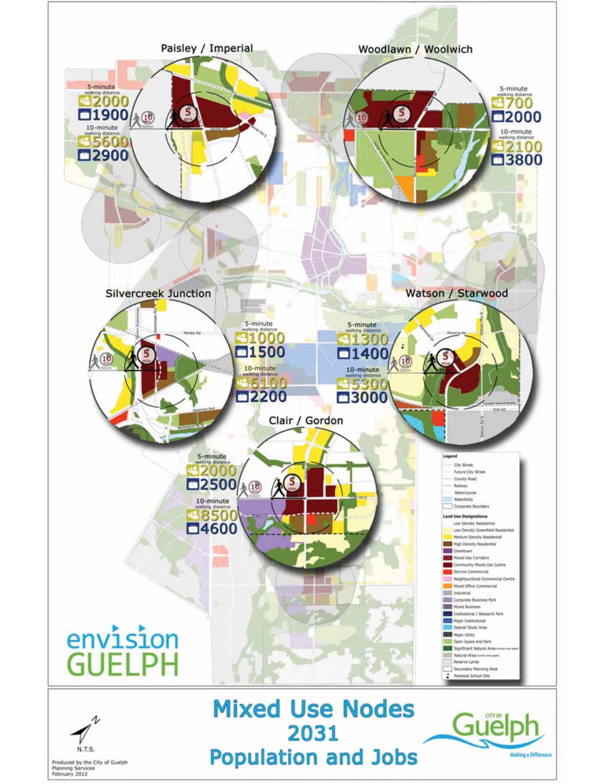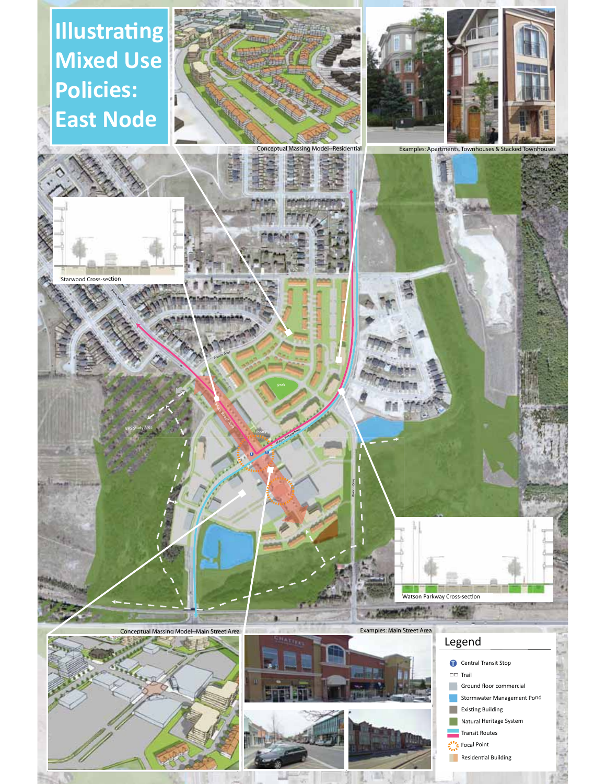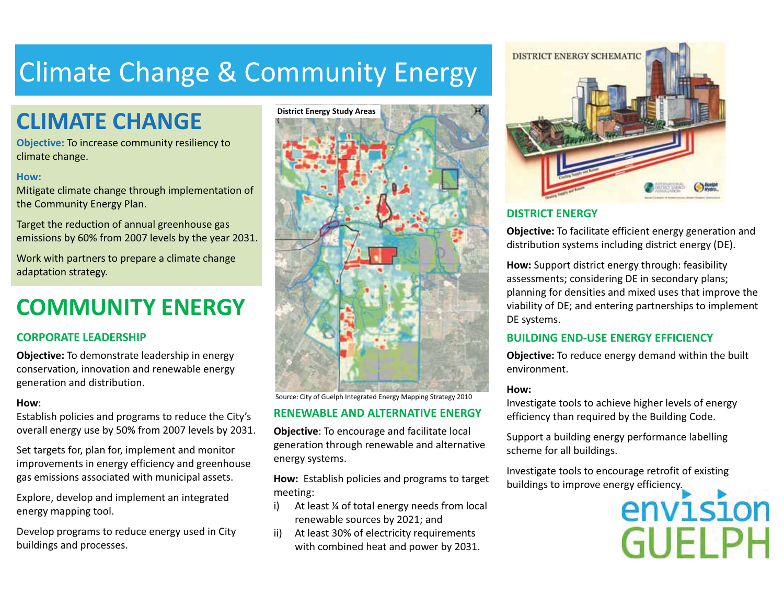## Climate Change & Community Energy

## **CLIMATE CHANGE**

**Objective:** To increase community resiliency to climate change.

#### **How:**

Mitigate climate change through implementation of the Community Energy Plan.

Target the reduction of annual greenhouse gas emissions by 60% from 2007 levels by the year 2031.

Work with partners to prepare a climate change adaptation strategy.

## **COMMUNITY ENERGY**

#### **CORPORATE LEADERSHIP**

**Objective:** To demonstrate leadership in energy conservation, innovation and renewable energy generation and distribution.

#### **How**:

Establish policies and programs to reduce the City's overall energy use by 50% from 2007 levels by 2031.

Set targets for, plan for, implement and monitor improvements in energy efficiency and greenhouse gas emissions associated with municipal assets.

Explore, develop and implement an integrated energy mapping tool.

Develop programs to reduce energy used in City buildings and processes.



Source: City of Guelph Integrated Energy Mapping Strategy 2010

#### **RENEWABLE AND ALTERNATIVE ENERGY**

**Objective**: To encourage and facilitate local generation through renewable and alternative energy systems.

**How:** Establish policies and programs to target meeting:

- i) At least ¼ of total energy needs from local renewable sources by 2021; and
- ii) At least 30% of electricity requirements with combined heat and power by 2031.



#### **DISTRICT ENERGY**

**Objective:** To facilitate efficient energy generation and distribution systems including district energy (DE).

**How:** Support district energy through: feasibility assessments; considering DE in secondary plans; planning for densities and mixed uses that improve the viability of DE; and entering partnerships to implement DE systems.

#### **BUILDING END-USE ENERGY EFFICIENCY**

**Objective:** To reduce energy demand within the built environment.

#### **How:**

Investigate tools to achieve higher levels of energy efficiency than required by the Building Code.

Support a building energy performance labelling scheme for all buildings.

Investigate tools to encourage retrofit of existing buildings to improve energy efficiency.

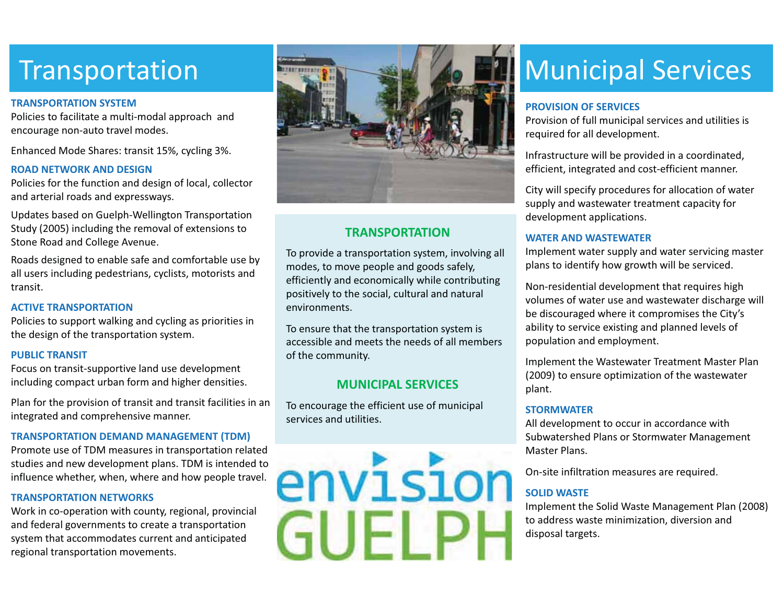## **Transportation**

#### **TRANSPORTATION SYSTEM**

Policies to facilitate a multi-modal approach and encourage non-auto travel modes.

Enhanced Mode Shares: transit 15%, cycling 3%.

#### **ROAD NETWORK AND DESIGN**

Policies for the function and design of local, collector and arterial roads and expressways.

Updates based on Guelph-Wellington Transportation Study (2005) including the removal of extensions to Stone Road and College Avenue.

Roads designed to enable safe and comfortable use by all users including pedestrians, cyclists, motorists and transit.

#### **ACTIVE TRANSPORTATION**

Policies to support walking and cycling as priorities in the design of the transportation system.

#### **PUBLIC TRANSIT**

Focus on transit-supportive land use development including compact urban form and higher densities.

Plan for the provision of transit and transit facilities in an integrated and comprehensive manner.

#### **TRANSPORTATION DEMAND MANAGEMENT (TDM)**

Promote use of TDM measures in transportation related studies and new development plans. TDM is intended to influence whether, when, where and how people travel.

#### **TRANSPORTATION NETWORKS**

Work in co-operation with county, regional, provincial and federal governments to create a transportation system that accommodates current and anticipated regional transportation movements.



#### **TRANSPORTATION**

To provide a transportation system, involving all modes, to move people and goods safely, efficiently and economically while contributing positively to the social, cultural and natural environments.

To ensure that the transportation system is accessible and meets the needs of all members of the community.

#### **MUNICIPAL SERVICES**

To encourage the efficient use of municipal services and utilities.

envisio

## Municipal Services

#### **PROVISION OF SERVICES**

Provision of full municipal services and utilities is required for all development.

Infrastructure will be provided in a coordinated, efficient, integrated and cost-efficient manner.

City will specify procedures for allocation of water supply and wastewater treatment capacity for development applications.

#### **WATER AND WASTEWATER**

Implement water supply and water servicing master plans to identify how growth will be serviced.

Non-residential development that requires high volumes of water use and wastewater discharge will be discouraged where it compromises the City's ability to service existing and planned levels of population and employment.

Implement the Wastewater Treatment Master Plan (2009) to ensure optimization of the wastewater plant.

#### **STORMWATER**

All development to occur in accordance with Subwatershed Plans or Stormwater Management Master Plans.

On-site infiltration measures are required.

#### **SOLID WASTE**

Implement the Solid Waste Management Plan (2008) to address waste minimization, diversion and disposal targets.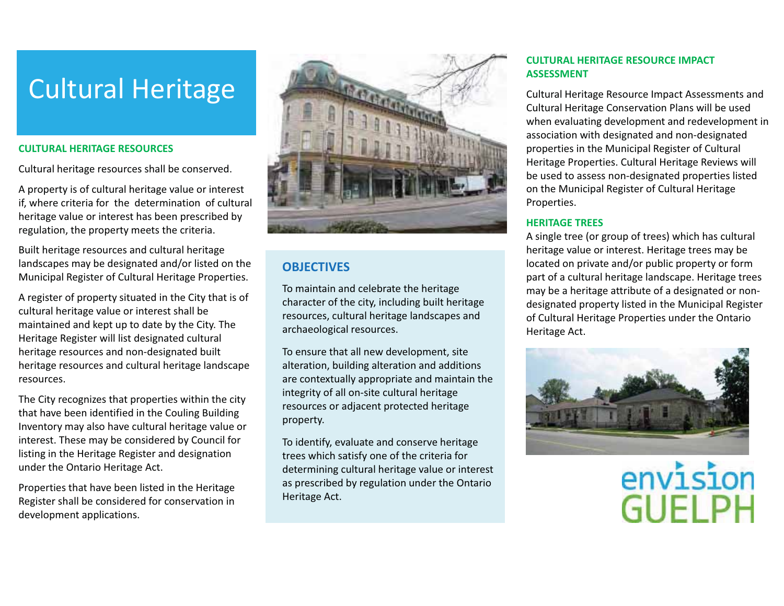## Cultural Heritage

#### **CULTURAL HERITAGE RESOURCES**

Cultural heritage resources shall be conserved.

A property is of cultural heritage value or interest if, where criteria for the determination of cultural heritage value or interest has been prescribed by regulation, the property meets the criteria.

Built heritage resources and cultural heritage landscapes may be designated and/or listed on the Municipal Register of Cultural Heritage Properties.

A register of property situated in the City that is of cultural heritage value or interest shall be maintained and kept up to date by the City. The Heritage Register will list designated cultural heritage resources and non-designated built heritage resources and cultural heritage landscape resources.

The City recognizes that properties within the city that have been identified in the Couling Building Inventory may also have cultural heritage value or interest. These may be considered by Council for listing in the Heritage Register and designation under the Ontario Heritage Act.

Properties that have been listed in the Heritage Register shall be considered for conservation in development applications.



#### **OBJECTIVES**

To maintain and celebrate the heritage character of the city, including built heritage resources, cultural heritage landscapes and archaeological resources.

To ensure that all new development, site alteration, building alteration and additions are contextually appropriate and maintain the integrity of all on-site cultural heritage resources or adjacent protected heritage property.

To identify, evaluate and conserve heritage trees which satisfy one of the criteria for determining cultural heritage value or interest as prescribed by regulation under the Ontario Heritage Act.

#### **CULTURAL HERITAGE RESOURCE IMPACT ASSESSMENT**

Cultural Heritage Resource Impact Assessments and Cultural Heritage Conservation Plans will be used when evaluating development and redevelopment in association with designated and non-designated properties in the Municipal Register of Cultural Heritage Properties. Cultural Heritage Reviews will be used to assess non-designated properties listed on the Municipal Register of Cultural Heritage Properties.

#### **HERITAGE TREES**

A single tree (or group of trees) which has cultural heritage value or interest. Heritage trees may be located on private and/or public property or form part of a cultural heritage landscape. Heritage trees may be a heritage attribute of a designated or nondesignated property listed in the Municipal Register of Cultural Heritage Properties under the Ontario Heritage Act.



envision **GUELPH**